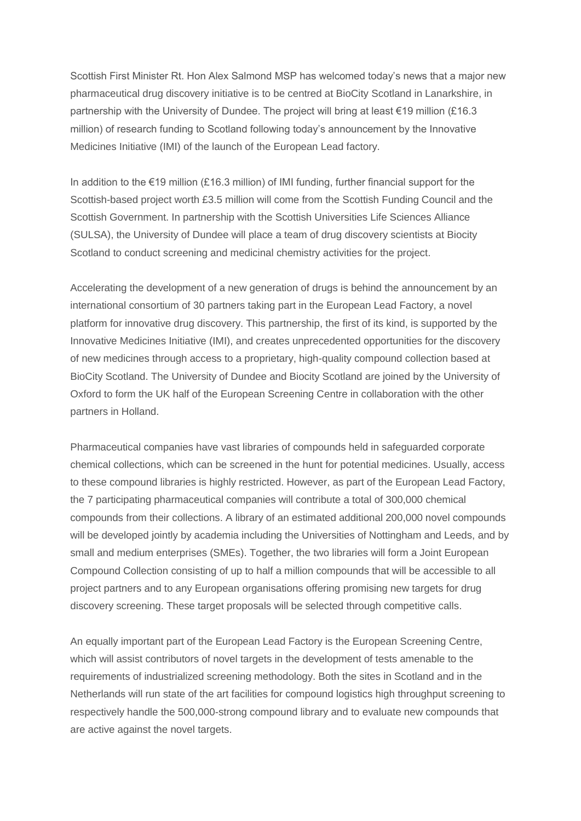Scottish First Minister Rt. Hon Alex Salmond MSP has welcomed today's news that a major new pharmaceutical drug discovery initiative is to be centred at BioCity Scotland in Lanarkshire, in partnership with the University of Dundee. The project will bring at least €19 million (£16.3 million) of research funding to Scotland following today's announcement by the Innovative Medicines Initiative (IMI) of the launch of the European Lead factory.

In addition to the €19 million (£16.3 million) of IMI funding, further financial support for the Scottish-based project worth £3.5 million will come from the Scottish Funding Council and the Scottish Government. In partnership with the Scottish Universities Life Sciences Alliance (SULSA), the University of Dundee will place a team of drug discovery scientists at Biocity Scotland to conduct screening and medicinal chemistry activities for the project.

Accelerating the development of a new generation of drugs is behind the announcement by an international consortium of 30 partners taking part in the European Lead Factory, a novel platform for innovative drug discovery. This partnership, the first of its kind, is supported by the Innovative Medicines Initiative (IMI), and creates unprecedented opportunities for the discovery of new medicines through access to a proprietary, high-quality compound collection based at BioCity Scotland. The University of Dundee and Biocity Scotland are joined by the University of Oxford to form the UK half of the European Screening Centre in collaboration with the other partners in Holland.

Pharmaceutical companies have vast libraries of compounds held in safeguarded corporate chemical collections, which can be screened in the hunt for potential medicines. Usually, access to these compound libraries is highly restricted. However, as part of the European Lead Factory, the 7 participating pharmaceutical companies will contribute a total of 300,000 chemical compounds from their collections. A library of an estimated additional 200,000 novel compounds will be developed jointly by academia including the Universities of Nottingham and Leeds, and by small and medium enterprises (SMEs). Together, the two libraries will form a Joint European Compound Collection consisting of up to half a million compounds that will be accessible to all project partners and to any European organisations offering promising new targets for drug discovery screening. These target proposals will be selected through competitive calls.

An equally important part of the European Lead Factory is the European Screening Centre, which will assist contributors of novel targets in the development of tests amenable to the requirements of industrialized screening methodology. Both the sites in Scotland and in the Netherlands will run state of the art facilities for compound logistics high throughput screening to respectively handle the 500,000-strong compound library and to evaluate new compounds that are active against the novel targets.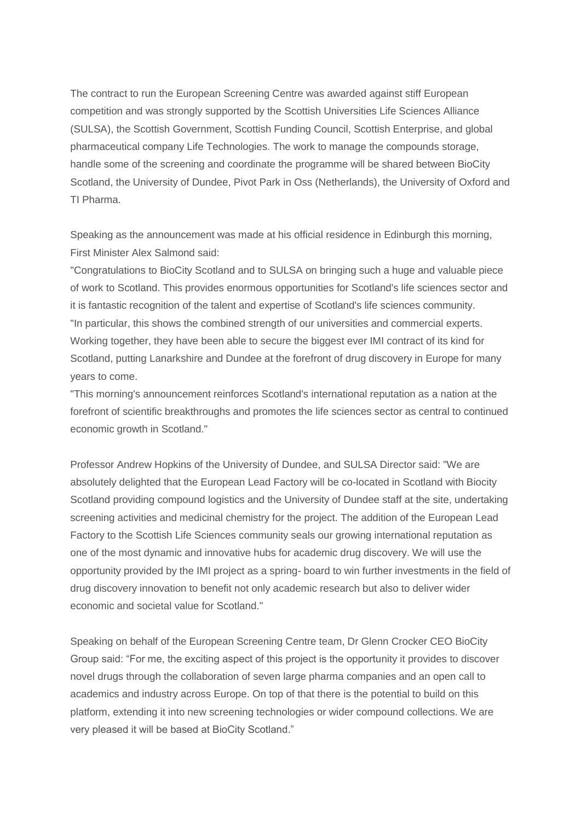The contract to run the European Screening Centre was awarded against stiff European competition and was strongly supported by the Scottish Universities Life Sciences Alliance (SULSA), the Scottish Government, Scottish Funding Council, Scottish Enterprise, and global pharmaceutical company Life Technologies. The work to manage the compounds storage, handle some of the screening and coordinate the programme will be shared between BioCity Scotland, the University of Dundee, Pivot Park in Oss (Netherlands), the University of Oxford and TI Pharma.

Speaking as the announcement was made at his official residence in Edinburgh this morning. First Minister Alex Salmond said:

"Congratulations to BioCity Scotland and to SULSA on bringing such a huge and valuable piece of work to Scotland. This provides enormous opportunities for Scotland's life sciences sector and it is fantastic recognition of the talent and expertise of Scotland's life sciences community. "In particular, this shows the combined strength of our universities and commercial experts. Working together, they have been able to secure the biggest ever IMI contract of its kind for Scotland, putting Lanarkshire and Dundee at the forefront of drug discovery in Europe for many years to come.

"This morning's announcement reinforces Scotland's international reputation as a nation at the forefront of scientific breakthroughs and promotes the life sciences sector as central to continued economic growth in Scotland."

Professor Andrew Hopkins of the University of Dundee, and SULSA Director said: "We are absolutely delighted that the European Lead Factory will be co-located in Scotland with Biocity Scotland providing compound logistics and the University of Dundee staff at the site, undertaking screening activities and medicinal chemistry for the project. The addition of the European Lead Factory to the Scottish Life Sciences community seals our growing international reputation as one of the most dynamic and innovative hubs for academic drug discovery. We will use the opportunity provided by the IMI project as a spring- board to win further investments in the field of drug discovery innovation to benefit not only academic research but also to deliver wider economic and societal value for Scotland."

Speaking on behalf of the European Screening Centre team, Dr Glenn Crocker CEO BioCity Group said: "For me, the exciting aspect of this project is the opportunity it provides to discover novel drugs through the collaboration of seven large pharma companies and an open call to academics and industry across Europe. On top of that there is the potential to build on this platform, extending it into new screening technologies or wider compound collections. We are very pleased it will be based at BioCity Scotland."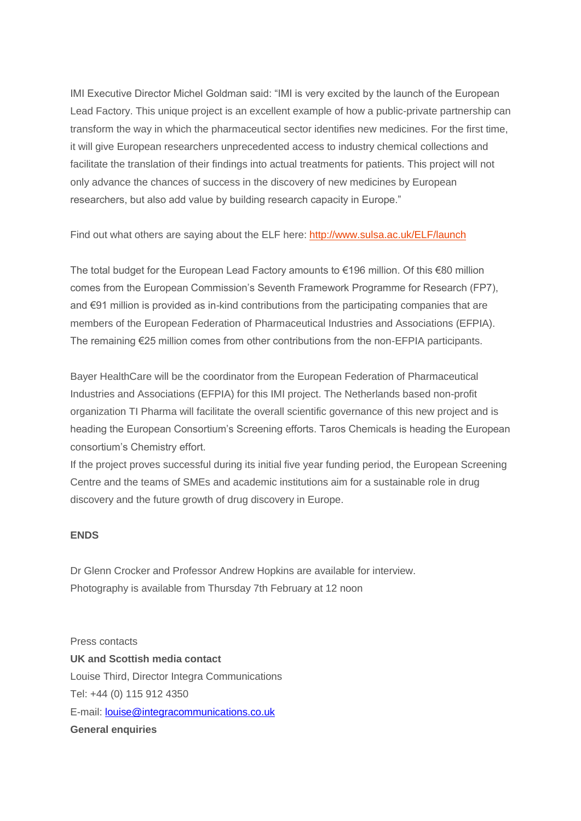IMI Executive Director Michel Goldman said: "IMI is very excited by the launch of the European Lead Factory. This unique project is an excellent example of how a public-private partnership can transform the way in which the pharmaceutical sector identifies new medicines. For the first time, it will give European researchers unprecedented access to industry chemical collections and facilitate the translation of their findings into actual treatments for patients. This project will not only advance the chances of success in the discovery of new medicines by European researchers, but also add value by building research capacity in Europe."

Find out what others are saying about the ELF here: [http://www.sulsa.ac.uk/ELF/launch](http://sulsa.us4.list-manage.com/track/click?u=6072c96b2f3d7c04aa2f80aed&id=4b10c2002e&e=a062fcdbd2)

The total budget for the European Lead Factory amounts to €196 million. Of this €80 million comes from the European Commission's Seventh Framework Programme for Research (FP7), and €91 million is provided as in-kind contributions from the participating companies that are members of the European Federation of Pharmaceutical Industries and Associations (EFPIA). The remaining €25 million comes from other contributions from the non-EFPIA participants.

Bayer HealthCare will be the coordinator from the European Federation of Pharmaceutical Industries and Associations (EFPIA) for this IMI project. The Netherlands based non-profit organization TI Pharma will facilitate the overall scientific governance of this new project and is heading the European Consortium's Screening efforts. Taros Chemicals is heading the European consortium's Chemistry effort.

If the project proves successful during its initial five year funding period, the European Screening Centre and the teams of SMEs and academic institutions aim for a sustainable role in drug discovery and the future growth of drug discovery in Europe.

#### **ENDS**

Dr Glenn Crocker and Professor Andrew Hopkins are available for interview. Photography is available from Thursday 7th February at 12 noon

Press contacts **UK and Scottish media contact** Louise Third, Director Integra Communications Tel: +44 (0) 115 912 4350 E-mail: [louise@integracommunications.co.uk](mailto:louise@integracommunications.co.uk) **General enquiries**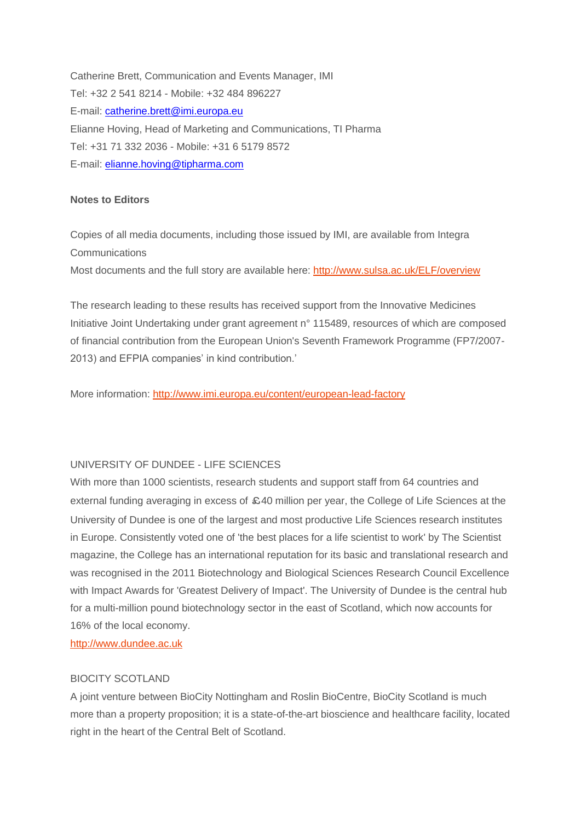Catherine Brett, Communication and Events Manager, IMI Tel: +32 2 541 8214 - Mobile: +32 484 896227 E-mail: [catherine.brett@imi.europa.eu](mailto:catherine.brett@imi.europa.eu) Elianne Hoving, Head of Marketing and Communications, TI Pharma Tel: +31 71 332 2036 - Mobile: +31 6 5179 8572 E-mail: [elianne.hoving@tipharma.com](mailto:elianne.hoving@tipharma.com)

## **Notes to Editors**

Copies of all media documents, including those issued by IMI, are available from Integra **Communications** 

Most documents and the full story are available here: [http://www.sulsa.ac.uk/ELF/overview](http://sulsa.us4.list-manage2.com/track/click?u=6072c96b2f3d7c04aa2f80aed&id=379b2082ba&e=a062fcdbd2)

The research leading to these results has received support from the Innovative Medicines Initiative Joint Undertaking under grant agreement n° 115489, resources of which are composed of financial contribution from the European Union's Seventh Framework Programme (FP7/2007- 2013) and EFPIA companies' in kind contribution.'

More information: [http://www.imi.europa.eu/content/european-lead-factory](http://sulsa.us4.list-manage.com/track/click?u=6072c96b2f3d7c04aa2f80aed&id=ae832ecafd&e=a062fcdbd2)

# UNIVERSITY OF DUNDEE - LIFE SCIENCES

With more than 1000 scientists, research students and support staff from 64 countries and external funding averaging in excess of £40 million per year, the College of Life Sciences at the University of Dundee is one of the largest and most productive Life Sciences research institutes in Europe. Consistently voted one of 'the best places for a life scientist to work' by The Scientist magazine, the College has an international reputation for its basic and translational research and was recognised in the 2011 Biotechnology and Biological Sciences Research Council Excellence with Impact Awards for 'Greatest Delivery of Impact'. The University of Dundee is the central hub for a multi-million pound biotechnology sector in the east of Scotland, which now accounts for 16% of the local economy.

[http://www.dundee.ac.uk](http://sulsa.us4.list-manage.com/track/click?u=6072c96b2f3d7c04aa2f80aed&id=20393f6fc6&e=a062fcdbd2)

## BIOCITY SCOTLAND

A joint venture between BioCity Nottingham and Roslin BioCentre, BioCity Scotland is much more than a property proposition; it is a state-of-the-art bioscience and healthcare facility, located right in the heart of the Central Belt of Scotland.